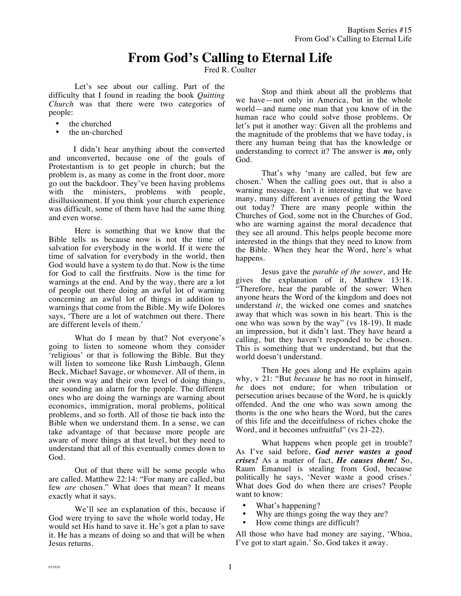## **From God's Calling to Eternal Life**

Fred R. Coulter

Let's see about our calling. Part of the difficulty that I found in reading the book *Quitting Church* was that there were two categories of people:

- the churched
- the un-churched

I didn't hear anything about the converted and unconverted, because one of the goals of Protestantism is to get people in church; but the problem is, as many as come in the front door, more go out the backdoor. They've been having problems with the ministers, problems with people, disillusionment. If you think your church experience was difficult, some of them have had the same thing and even worse.

Here is something that we know that the Bible tells us because now is not the time of salvation for everybody in the world. If it were the time of salvation for everybody in the world, then God would have a system to do that. Now is the time for God to call the firstfruits. Now is the time for warnings at the end. And by the way, there are a lot of people out there doing an awful lot of warning concerning an awful lot of things in addition to warnings that come from the Bible. My wife Dolores says, 'There are a lot of watchmen out there. There are different levels of them.'

What do I mean by that? Not everyone's going to listen to someone whom they consider 'religious' or that is following the Bible. But they will listen to someone like Rush Limbaugh, Glenn Beck, Michael Savage, or whomever. All of them, in their own way and their own level of doing things, are sounding an alarm for the people. The different ones who are doing the warnings are warning about economics, immigration, moral problems, political problems, and so forth. All of those tie back into the Bible when we understand them. In a sense, we can take advantage of that because more people are aware of more things at that level, but they need to understand that all of this eventually comes down to God.

Out of that there will be some people who are called. Matthew 22:14: "For many are called, but few *are* chosen." What does that mean? It means exactly what it says.

We'll see an explanation of this, because if God were trying to save the whole world today, He would set His hand to save it. He's got a plan to save it. He has a means of doing so and that will be when Jesus returns.

Stop and think about all the problems that we have—not only in America, but in the whole world—and name one man that you know of in the human race who could solve those problems. Or let's put it another way: Given all the problems and the magnitude of the problems that we have today, is there any human being that has the knowledge or understanding to correct it? The answer is *no,* only God.

That's why 'many are called, but few are chosen.' When the calling goes out, that is also a warning message. Isn't it interesting that we have many, many different avenues of getting the Word out today? There are many people within the Churches of God, some not in the Churches of God, who are warning against the moral decadence that they see all around. This helps people become more interested in the things that they need to know from the Bible. When they hear the Word, here's what happens.

Jesus gave the *parable of the sower*, and He gives the explanation of it, Matthew 13:18. "Therefore, hear the parable of the sower: When anyone hears the Word of the kingdom and does not understand *it*, the wicked one comes and snatches away that which was sown in his heart. This is the one who was sown by the way" (vs 18-19). It made an impression, but it didn't last. They have heard a calling, but they haven't responded to be chosen. This is something that we understand, but that the world doesn't understand.

Then He goes along and He explains again why, v 21: "But *because* he has no root in himself, *he* does not endure; for when tribulation or persecution arises because of the Word, he is quickly offended. And the one who was sown among the thorns is the one who hears the Word, but the cares of this life and the deceitfulness of riches choke the Word, and it becomes unfruitful" (vs 21-22).

What happens when people get in trouble? As I've said before, *God never wastes a good crises!* As a matter of fact, *He causes them!* So, Raum Emanuel is stealing from God, because politically he says, 'Never waste a good crises.' What does God do when there are crises? People want to know:

- What's happening?
- Why are things going the way they are?
- How come things are difficult?

All those who have had money are saying, 'Whoa, I've got to start again.' So, God takes it away.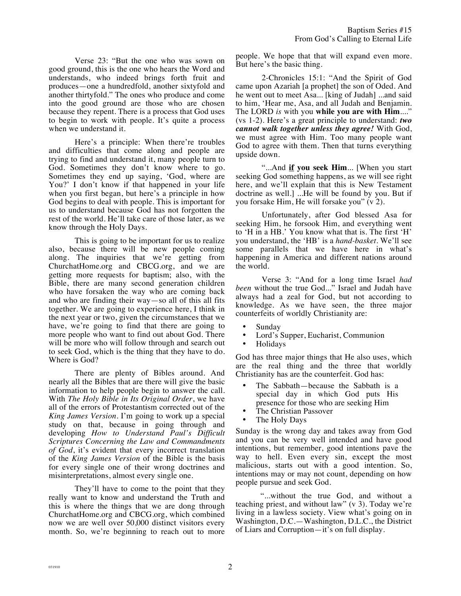Verse 23: "But the one who was sown on good ground, this is the one who hears the Word and understands, who indeed brings forth fruit and produces—one a hundredfold, another sixtyfold and another thirtyfold." The ones who produce and come into the good ground are those who are chosen because they repent. There is a process that God uses to begin to work with people. It's quite a process when we understand it.

Here's a principle: When there're troubles and difficulties that come along and people are trying to find and understand it, many people turn to God. Sometimes they don't know where to go. Sometimes they end up saying, 'God, where are You?' I don't know if that happened in your life when you first began, but here's a principle in how God begins to deal with people. This is important for us to understand because God has not forgotten the rest of the world. He'll take care of those later, as we know through the Holy Days.

This is going to be important for us to realize also, because there will be new people coming along. The inquiries that we're getting from ChurchatHome.org and CBCG.org, and we are getting more requests for baptism; also, with the Bible, there are many second generation children who have forsaken the way who are coming back and who are finding their way—so all of this all fits together. We are going to experience here, I think in the next year or two, given the circumstances that we have, we're going to find that there are going to more people who want to find out about God. There will be more who will follow through and search out to seek God, which is the thing that they have to do. Where is God?

There are plenty of Bibles around. And nearly all the Bibles that are there will give the basic information to help people begin to answer the call. With *The Holy Bible in Its Original Order*, we have all of the errors of Protestantism corrected out of the *King James Version*. I'm going to work up a special study on that, because in going through and developing *How to Understand Paul's Difficult Scriptures Concerning the Law and Commandments of God*, it's evident that every incorrect translation of the *King James Version* of the Bible is the basis for every single one of their wrong doctrines and misinterpretations, almost every single one.

They'll have to come to the point that they really want to know and understand the Truth and this is where the things that we are dong through ChurchatHome.org and CBCG.org, which combined now we are well over 50,000 distinct visitors every month. So, we're beginning to reach out to more people. We hope that that will expand even more. But here's the basic thing.

2-Chronicles 15:1: "And the Spirit of God came upon Azariah [a prophet] the son of Oded. And he went out to meet Asa... [king of Judah] ...and said to him, 'Hear me, Asa, and all Judah and Benjamin. The LORD *is* with you **while you are with Him**...." (vs 1-2). Here's a great principle to understand: *two cannot walk together unless they agree!* With God, we must agree with Him. Too many people want God to agree with them. Then that turns everything upside down.

"...And **if you seek Him**... [When you start seeking God something happens, as we will see right here, and we'll explain that this is New Testament doctrine as well.] ...He will be found by you. But if you forsake Him, He will forsake you" (v 2).

Unfortunately, after God blessed Asa for seeking Him, he forsook Him, and everything went to 'H in a HB.' You know what that is. The first 'H' you understand, the 'HB' is a *hand-basket*. We'll see some parallels that we have here in what's happening in America and different nations around the world.

Verse 3: "And for a long time Israel *had been* without the true God..." Israel and Judah have always had a zeal for God, but not according to knowledge. As we have seen, the three major counterfeits of worldly Christianity are:

- Sunday
- Lord's Supper, Eucharist, Communion<br>• Holidays
- Holidays

God has three major things that He also uses, which are the real thing and the three that worldly Christianity has are the counterfeit. God has:

- The Sabbath—because the Sabbath is a special day in which God puts His presence for those who are seeking Him
- The Christian Passover
- The Holy Days

Sunday is the wrong day and takes away from God and you can be very well intended and have good intentions, but remember, good intentions pave the way to hell. Even every sin, except the most malicious, starts out with a good intention. So, intentions may or may not count, depending on how people pursue and seek God.

"...without the true God, and without a teaching priest, and without law" (v 3). Today we're living in a lawless society. View what's going on in Washington, D.C.—Washington, D.L.C., the District of Liars and Corruption—it's on full display.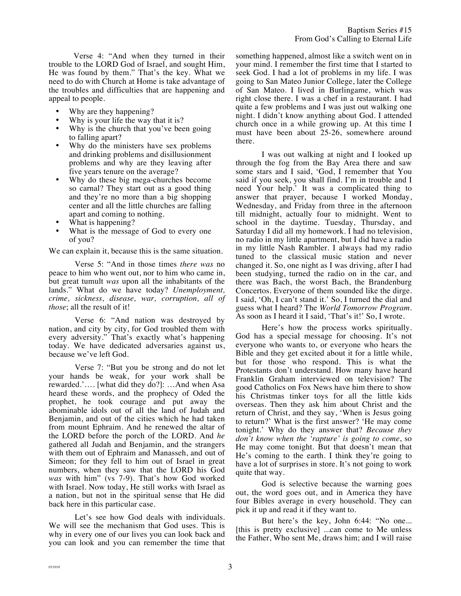Verse 4: "And when they turned in their trouble to the LORD God of Israel, and sought Him, He was found by them." That's the key. What we need to do with Church at Home is take advantage of the troubles and difficulties that are happening and appeal to people.

- Why are they happening?
- Why is your life the way that it is?
- Why is the church that you've been going to falling apart?
- Why do the ministers have sex problems and drinking problems and disillusionment problems and why are they leaving after five years tenure on the average?
- Why do these big mega-churches become so carnal? They start out as a good thing and they're no more than a big shopping center and all the little churches are falling apart and coming to nothing.
- What is happening?
- What is the message of God to every one of you?

We can explain it, because this is the same situation.

Verse 5: "And in those times *there was* no peace to him who went out, nor to him who came in, but great tumult *was* upon all the inhabitants of the lands." What do we have today? *Unemployment, crime, sickness, disease, war, corruption, all of those*; all the result of it!

Verse 6: "And nation was destroyed by nation, and city by city, for God troubled them with every adversity." That's exactly what's happening today. We have dedicated adversaries against us, because we've left God.

Verse 7: "But you be strong and do not let your hands be weak, for your work shall be rewarded.'…. [what did they do?]: …And when Asa heard these words, and the prophecy of Oded the prophet, he took courage and put away the abominable idols out of all the land of Judah and Benjamin, and out of the cities which he had taken from mount Ephraim. And he renewed the altar of the LORD before the porch of the LORD. And *he* gathered all Judah and Benjamin, and the strangers with them out of Ephraim and Manasseh, and out of Simeon; for they fell to him out of Israel in great numbers, when they saw that the LORD his God *was* with him" (vs 7-9). That's how God worked with Israel. Now today, He still works with Israel as a nation, but not in the spiritual sense that He did back here in this particular case.

Let's see how God deals with individuals. We will see the mechanism that God uses. This is why in every one of our lives you can look back and you can look and you can remember the time that something happened, almost like a switch went on in your mind. I remember the first time that I started to seek God. I had a lot of problems in my life. I was going to San Mateo Junior College, later the College of San Mateo. I lived in Burlingame, which was right close there. I was a chef in a restaurant. I had quite a few problems and I was just out walking one night. I didn't know anything about God. I attended church once in a while growing up. At this time I must have been about 25-26, somewhere around there.

I was out walking at night and I looked up through the fog from the Bay Area there and saw some stars and I said, 'God, I remember that You said if you seek, you shall find. I'm in trouble and I need Your help.' It was a complicated thing to answer that prayer, because I worked Monday, Wednesday, and Friday from three in the afternoon till midnight, actually four to midnight. Went to school in the daytime. Tuesday, Thursday, and Saturday I did all my homework. I had no television, no radio in my little apartment, but I did have a radio in my little Nash Rambler. I always had my radio tuned to the classical music station and never changed it. So, one night as I was driving, after I had been studying, turned the radio on in the car, and there was Bach, the worst Bach, the Brandenburg Concertos. Everyone of them sounded like the dirge. I said, 'Oh, I can't stand it.' So, I turned the dial and guess what I heard? The *World Tomorrow Program*. As soon as I heard it I said, 'That's it!' So, I wrote.

Here's how the process works spiritually. God has a special message for choosing. It's not everyone who wants to, or everyone who hears the Bible and they get excited about it for a little while, but for those who respond. This is what the Protestants don't understand. How many have heard Franklin Graham interviewed on television? The good Catholics on Fox News have him there to show his Christmas tinker toys for all the little kids overseas. Then they ask him about Christ and the return of Christ, and they say, 'When is Jesus going to return?' What is the first answer? 'He may come tonight.' Why do they answer that? *Because they don't know when the 'rapture' is going to come*, so He may come tonight. But that doesn't mean that He's coming to the earth. I think they're going to have a lot of surprises in store. It's not going to work quite that way.

God is selective because the warning goes out, the word goes out, and in America they have four Bibles average in every household. They can pick it up and read it if they want to.

But here's the key, John 6:44: "No one... [this is pretty exclusive] ...can come to Me unless the Father, Who sent Me, draws him; and I will raise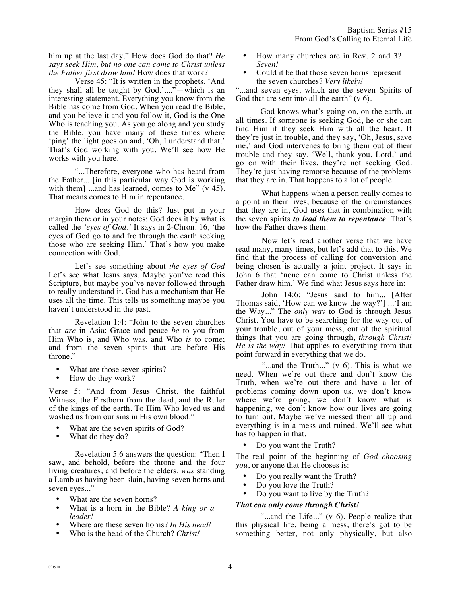him up at the last day." How does God do that? *He says seek Him, but no one can come to Christ unless the Father first draw him!* How does that work?

Verse 45: "It is written in the prophets, 'And they shall all be taught by God.'...."—which is an interesting statement. Everything you know from the Bible has come from God. When you read the Bible, and you believe it and you follow it, God is the One Who is teaching you. As you go along and you study the Bible, you have many of these times where 'ping' the light goes on and, 'Oh, I understand that.' That's God working with you. We'll see how He works with you here.

"...Therefore, everyone who has heard from the Father... [in this particular way God is working with them] ...and has learned, comes to Me" (v 45). That means comes to Him in repentance.

How does God do this? Just put in your margin there or in your notes: God does it by what is called the *'eyes of God.'* It says in 2-Chron. 16, 'the eyes of God go to and fro through the earth seeking those who are seeking Him.' That's how you make connection with God.

Let's see something about *the eyes of God* Let's see what Jesus says. Maybe you've read this Scripture, but maybe you've never followed through to really understand it. God has a mechanism that He uses all the time. This tells us something maybe you haven't understood in the past.

Revelation 1:4: "John to the seven churches that *are* in Asia: Grace and peace *be* to you from Him Who is, and Who was, and Who *is* to come; and from the seven spirits that are before His throne."

- What are those seven spirits?
- How do they work?

Verse 5: "And from Jesus Christ, the faithful Witness, the Firstborn from the dead, and the Ruler of the kings of the earth. To Him Who loved us and washed us from our sins in His own blood."

- What are the seven spirits of God?
- What do they do?

Revelation 5:6 answers the question: "Then I saw, and behold, before the throne and the four living creatures, and before the elders, *was* standing a Lamb as having been slain, having seven horns and seven eyes..."

- What are the seven horns?
- What is a horn in the Bible? *A king or a leader!*
- Where are these seven horns? *In His head!*
- Who is the head of the Church? *Christ!*
- How many churches are in Rev. 2 and 3? *Seven!*
- Could it be that those seven horns represent the seven churches? *Very likely!*

"...and seven eyes, which are the seven Spirits of God that are sent into all the earth" (v 6).

God knows what's going on, on the earth, at all times. If someone is seeking God, he or she can find Him if they seek Him with all the heart. If they're just in trouble, and they say, 'Oh, Jesus, save me,' and God intervenes to bring them out of their trouble and they say, 'Well, thank you, Lord,' and go on with their lives, they're not seeking God. They're just having remorse because of the problems that they are in. That happens to a lot of people.

What happens when a person really comes to a point in their lives, because of the circumstances that they are in, God uses that in combination with the seven spirits *to lead them to repentance*. That's how the Father draws them.

Now let's read another verse that we have read many, many times, but let's add that to this. We find that the process of calling for conversion and being chosen is actually a joint project. It says in John 6 that 'none can come to Christ unless the Father draw him.' We find what Jesus says here in:

John 14:6: "Jesus said to him... [After Thomas said, 'How can we know the way?'] ...'I am the Way..." The *only way* to God is through Jesus Christ. You have to be searching for the way out of your trouble, out of your mess, out of the spiritual things that you are going through, *through Christ! He is the way!* That applies to everything from that point forward in everything that we do.

"...and the Truth..." (v 6). This is what we need. When we're out there and don't know the Truth, when we're out there and have a lot of problems coming down upon us, we don't know where we're going, we don't know what is happening, we don't know how our lives are going to turn out. Maybe we've messed them all up and everything is in a mess and ruined. We'll see what has to happen in that.

Do you want the Truth?

The real point of the beginning of *God choosing you*, or anyone that He chooses is:

- Do you really want the Truth?
- Do you love the Truth?
- Do you want to live by the Truth?

## *That can only come through Christ!*

"...and the Life..." (v 6). People realize that this physical life, being a mess, there's got to be something better, not only physically, but also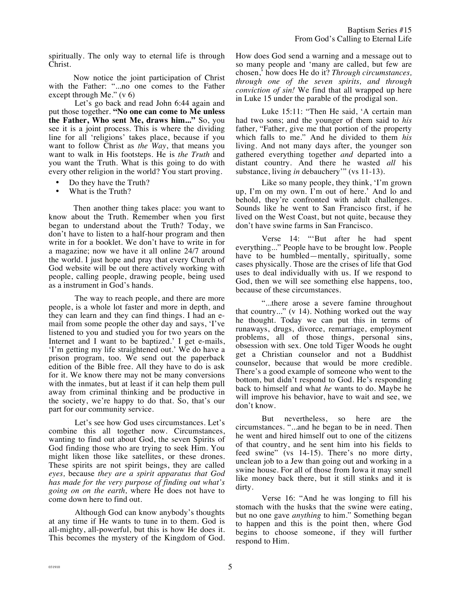spiritually. The only way to eternal life is through Christ.

Now notice the joint participation of Christ with the Father: "...no one comes to the Father except through Me." (v 6)

Let's go back and read John 6:44 again and put those together. **"No one can come to Me unless the Father, Who sent Me, draws him..."** So, you see it is a joint process. This is where the dividing line for all 'religions' takes place, because if you want to follow Christ as *the Way*, that means you want to walk in His footsteps. He is *the Truth* and you want the Truth. What is this going to do with every other religion in the world? You start proving.

- Do they have the Truth?
- What is the Truth?

Then another thing takes place: you want to know about the Truth. Remember when you first began to understand about the Truth? Today, we don't have to listen to a half-hour program and then write in for a booklet. We don't have to write in for a magazine; now we have it all online 24/7 around the world. I just hope and pray that every Church of God website will be out there actively working with people, calling people, drawing people, being used as a instrument in God's hands.

The way to reach people, and there are more people, is a whole lot faster and more in depth, and they can learn and they can find things. I had an email from some people the other day and says, 'I've listened to you and studied you for two years on the Internet and I want to be baptized.' I get e-mails, 'I'm getting my life straightened out.' We do have a prison program, too. We send out the paperback edition of the Bible free. All they have to do is ask for it. We know there may not be many conversions with the inmates, but at least if it can help them pull away from criminal thinking and be productive in the society, we're happy to do that. So, that's our part for our community service.

Let's see how God uses circumstances. Let's combine this all together now. Circumstances, wanting to find out about God, the seven Spirits of God finding those who are trying to seek Him. You might liken those like satellites, or these drones. These spirits are not spirit beings, they are called *eyes,* because *they are a spirit apparatus that God has made for the very purpose of finding out what's going on on the earth,* where He does not have to come down here to find out.

Although God can know anybody's thoughts at any time if He wants to tune in to them. God is all-mighty, all-powerful, but this is how He does it. This becomes the mystery of the Kingdom of God. How does God send a warning and a message out to so many people and 'many are called, but few are chosen,' how does He do it? *Through circumstances, through one of the seven spirits, and through conviction of sin!* We find that all wrapped up here in Luke 15 under the parable of the prodigal son.

Luke 15:11: "Then He said, 'A certain man had two sons; and the younger of them said to *his*  father, "Father, give me that portion of the property which falls to me." And he divided to them *his* living. And not many days after, the younger son gathered everything together *and* departed into a distant country. And there he wasted *all* his substance, living *in* debauchery'" (vs 11-13).

Like so many people, they think, 'I'm grown up, I'm on my own. I'm out of here.' And lo and behold, they're confronted with adult challenges. Sounds like he went to San Francisco first, if he lived on the West Coast, but not quite, because they don't have swine farms in San Francisco.

Verse 14: "'But after he had spent everything..." People have to be brought low. People have to be humbled—mentally, spiritually, some cases physically. Those are the crises of life that God uses to deal individually with us. If we respond to God, then we will see something else happens, too, because of these circumstances.

"...there arose a severe famine throughout that country..." (v 14). Nothing worked out the way he thought. Today we can put this in terms of runaways, drugs, divorce, remarriage, employment problems, all of those things, personal sins, obsession with sex. One told Tiger Woods he ought get a Christian counselor and not a Buddhist counselor, because that would be more credible. There's a good example of someone who went to the bottom, but didn't respond to God. He's responding back to himself and what *he* wants to do. Maybe he will improve his behavior, have to wait and see, we don't know.

But nevertheless, so here are the circumstances. "...and he began to be in need. Then he went and hired himself out to one of the citizens of that country, and he sent him into his fields to feed swine" (vs 14-15). There's no more dirty, unclean job to a Jew than going out and working in a swine house. For all of those from Iowa it may smell like money back there, but it still stinks and it is dirty.

Verse 16: "And he was longing to fill his stomach with the husks that the swine were eating, but no one gave *anything* to him." Something began to happen and this is the point then, where God begins to choose someone, if they will further respond to Him.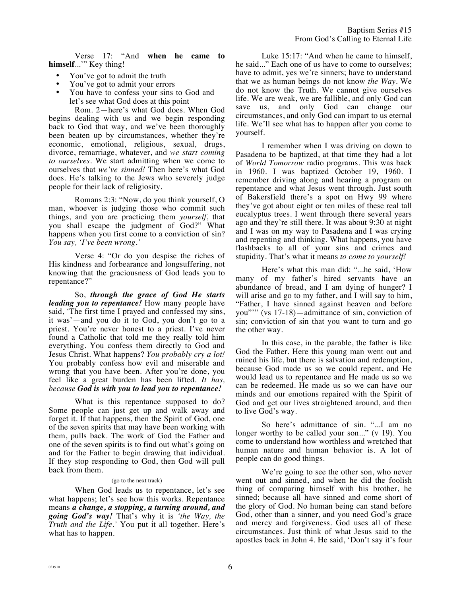Verse 17: "And **when he came to himself**...'" Key thing!

- You've got to admit the truth
- You've got to admit your errors
- You have to confess your sins to God and let's see what God does at this point

Rom. 2—here's what God does. When God begins dealing with us and we begin responding back to God that way, and we've been thoroughly been beaten up by circumstances, whether they're economic, emotional, religious, sexual, drugs, divorce, remarriage, whatever, and *we start coming to ourselves.* We start admitting when we come to ourselves that *we've sinned!* Then here's what God does. He's talking to the Jews who severely judge people for their lack of religiosity.

Romans 2:3: "Now, do you think yourself, O man, whoever is judging those who commit such things, and you are practicing them *yourself*, that you shall escape the judgment of God?" What happens when you first come to a conviction of sin? *You say, 'I've been wrong.'*

Verse 4: "Or do you despise the riches of His kindness and forbearance and longsuffering, not knowing that the graciousness of God leads you to repentance?"

So, *through the grace of God He starts leading you to repentance!* How many people have said, 'The first time I prayed and confessed my sins, it was'—and you do it to God, you don't go to a priest. You're never honest to a priest. I've never found a Catholic that told me they really told him everything. You confess them directly to God and Jesus Christ. What happens? *You probably cry a lot!* You probably confess how evil and miserable and wrong that you have been. After you're done, you feel like a great burden has been lifted. *It has, because God is with you to lead you to repentance!*

What is this repentance supposed to do? Some people can just get up and walk away and forget it. If that happens, then the Spirit of God, one of the seven spirits that may have been working with them, pulls back. The work of God the Father and one of the seven spirits is to find out what's going on and for the Father to begin drawing that individual. If they stop responding to God, then God will pull back from them.

## (go to the next track)

When God leads us to repentance, let's see what happens; let's see how this works. Repentance means *a change, a stopping, a turning around, and going God's way!* That's why it is *'the Way, the Truth and the Life.'* You put it all together. Here's what has to happen.

Luke 15:17: "And when he came to himself, he said..." Each one of us have to come to ourselves; have to admit, yes we're sinners; have to understand that we as human beings do not know *the Way*. We do not know the Truth. We cannot give ourselves life. We are weak, we are fallible, and only God can save us, and only God can change our circumstances, and only God can impart to us eternal life. We'll see what has to happen after you come to yourself.

I remember when I was driving on down to Pasadena to be baptized, at that time they had a lot of *World Tomorrow* radio programs. This was back in 1960. I was baptized October 19, 1960. I remember driving along and hearing a program on repentance and what Jesus went through. Just south of Bakersfield there's a spot on Hwy 99 where they've got about eight or ten miles of these real tall eucalyptus trees. I went through there several years ago and they're still there. It was about 9:30 at night and I was on my way to Pasadena and I was crying and repenting and thinking. What happens, you have flashbacks to all of your sins and crimes and stupidity. That's what it means *to come to yourself!*

Here's what this man did: "...he said, 'How many of my father's hired servants have an abundance of bread, and I am dying of hunger? I will arise and go to my father, and I will say to him, "Father, I have sinned against heaven and before you"'" (vs 17-18)—admittance of sin, conviction of sin; conviction of sin that you want to turn and go the other way.

In this case, in the parable, the father is like God the Father. Here this young man went out and ruined his life, but there is salvation and redemption, because God made us so we could repent, and He would lead us to repentance and He made us so we can be redeemed. He made us so we can have our minds and our emotions repaired with the Spirit of God and get our lives straightened around, and then to live God's way.

So here's admittance of sin. "...I am no longer worthy to be called your son..." (v 19). You come to understand how worthless and wretched that human nature and human behavior is. A lot of people can do good things.

We're going to see the other son, who never went out and sinned, and when he did the foolish thing of comparing himself with his brother, he sinned; because all have sinned and come short of the glory of God. No human being can stand before God, other than a sinner, and you need God's grace and mercy and forgiveness. God uses all of these circumstances. Just think of what Jesus said to the apostles back in John 4. He said, 'Don't say it's four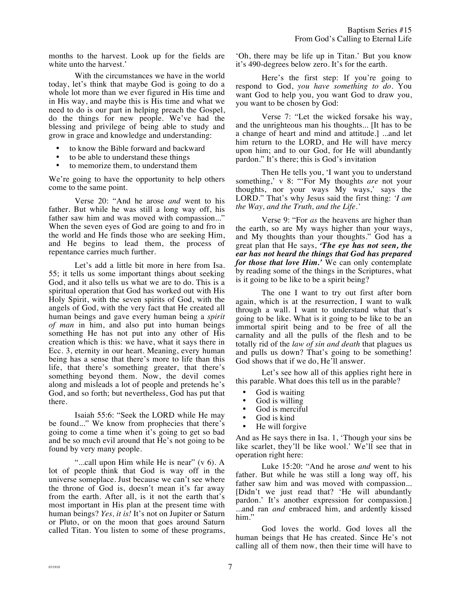months to the harvest. Look up for the fields are white unto the harvest.'

With the circumstances we have in the world today, let's think that maybe God is going to do a whole lot more than we ever figured in His time and in His way, and maybe this is His time and what we need to do is our part in helping preach the Gospel, do the things for new people. We've had the blessing and privilege of being able to study and grow in grace and knowledge and understanding:

- to know the Bible forward and backward
- to be able to understand these things
- to memorize them, to understand them

We're going to have the opportunity to help others come to the same point.

Verse 20: "And he arose *and* went to his father. But while he was still a long way off, his father saw him and was moved with compassion..." When the seven eyes of God are going to and fro in the world and He finds those who are seeking Him, and He begins to lead them, the process of repentance carries much further.

Let's add a little bit more in here from Isa. 55; it tells us some important things about seeking God, and it also tells us what we are to do. This is a spiritual operation that God has worked out with His Holy Spirit, with the seven spirits of God, with the angels of God, with the very fact that He created all human beings and gave every human being a *spirit of man* in him, and also put into human beings something He has not put into any other of His creation which is this: we have, what it says there in Ecc. 3, eternity in our heart. Meaning, every human being has a sense that there's more to life than this life, that there's something greater, that there's something beyond them. Now, the devil comes along and misleads a lot of people and pretends he's God, and so forth; but nevertheless, God has put that there.

Isaiah 55:6: "Seek the LORD while He may be found..." We know from prophecies that there's going to come a time when it's going to get so bad and be so much evil around that He's not going to be found by very many people.

"...call upon Him while He is near" (v 6). A lot of people think that God is way off in the universe someplace. Just because we can't see where the throne of God is, doesn't mean it's far away from the earth. After all, is it not the earth that's most important in His plan at the present time with human beings? *Yes, it is!* It's not on Jupiter or Saturn or Pluto, or on the moon that goes around Saturn called Titan. You listen to some of these programs,

'Oh, there may be life up in Titan.' But you know it's 490-degrees below zero. It's for the earth.

Here's the first step: If you're going to respond to God, *you have something to do.* You want God to help you, you want God to draw you, you want to be chosen by God:

Verse 7: "Let the wicked forsake his way, and the unrighteous man his thoughts... [It has to be a change of heart and mind and attitude.] ...and let him return to the LORD, and He will have mercy upon him; and to our God, for He will abundantly pardon." It's there; this is God's invitation

Then He tells you, 'I want you to understand something,' v 8: "'For My thoughts *are* not your thoughts, nor your ways My ways,' says the LORD." That's why Jesus said the first thing: *'I am the Way, and the Truth, and the Life.'*

Verse 9: "For *as* the heavens are higher than the earth, so are My ways higher than your ways, and My thoughts than your thoughts." God has a great plan that He says, *'The eye has not seen, the ear has not heard the things that God has prepared for those that love Him.'* We can only contemplate by reading some of the things in the Scriptures, what is it going to be like to be a spirit being?

The one I want to try out first after born again, which is at the resurrection, I want to walk through a wall. I want to understand what that's going to be like. What is it going to be like to be an immortal spirit being and to be free of all the carnality and all the pulls of the flesh and to be totally rid of the *law of sin and death* that plagues us and pulls us down? That's going to be something! God shows that if we do, He'll answer.

Let's see how all of this applies right here in this parable. What does this tell us in the parable?

- God is waiting<br>• God is willing
- God is willing<br>• God is merciful
- God is merciful<br>• God is kind
- God is kind<br>• He will forg
- He will forgive

And as He says there in Isa. 1, 'Though your sins be like scarlet, they'll be like wool.' We'll see that in operation right here:

Luke 15:20: "And he arose *and* went to his father. But while he was still a long way off, his father saw him and was moved with compassion... [Didn't we just read that? 'He will abundantly pardon.' It's another expression for compassion.] ...and ran *and* embraced him, and ardently kissed him."

God loves the world. God loves all the human beings that He has created. Since He's not calling all of them now, then their time will have to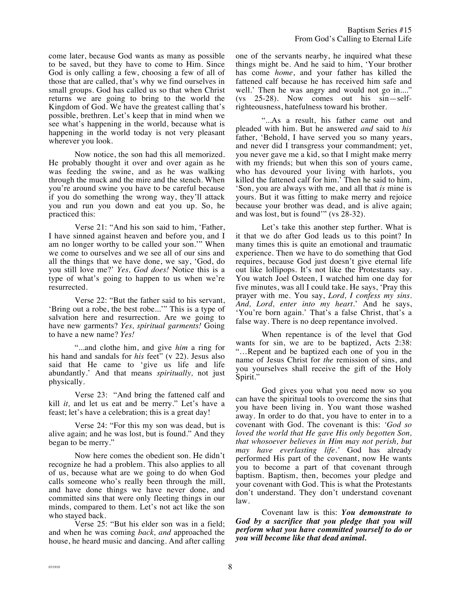come later, because God wants as many as possible to be saved, but they have to come to Him. Since God is only calling a few, choosing a few of all of those that are called, that's why we find ourselves in small groups. God has called us so that when Christ returns we are going to bring to the world the Kingdom of God. We have the greatest calling that's possible, brethren. Let's keep that in mind when we see what's happening in the world, because what is happening in the world today is not very pleasant wherever you look.

Now notice, the son had this all memorized. He probably thought it over and over again as he was feeding the swine, and as he was walking through the muck and the mire and the stench. When you're around swine you have to be careful because if you do something the wrong way, they'll attack you and run you down and eat you up. So, he practiced this:

Verse 21: "And his son said to him, 'Father, I have sinned against heaven and before you, and I am no longer worthy to be called your son.'" When we come to ourselves and we see all of our sins and all the things that we have done, we say, 'God, do you still love me?' *Yes, God does!* Notice this is a type of what's going to happen to us when we're resurrected.

Verse 22: "But the father said to his servant, 'Bring out a robe, the best robe...'" This is a type of salvation here and resurrection. Are we going to have new garments? *Yes, spiritual garments!* Going to have a new name? *Yes!*

"...and clothe him, and give *him* a ring for his hand and sandals for *his* feet" (v 22). Jesus also said that He came to 'give us life and life abundantly.' And that means *spiritually,* not just physically.

Verse 23: "And bring the fattened calf and kill *it,* and let us eat and be merry." Let's have a feast; let's have a celebration; this is a great day!

Verse 24: "For this my son was dead, but is alive again; and he was lost, but is found." And they began to be merry."

Now here comes the obedient son. He didn't recognize he had a problem. This also applies to all of us, because what are we going to do when God calls someone who's really been through the mill, and have done things we have never done, and committed sins that were only fleeting things in our minds, compared to them. Let's not act like the son who stayed back.

Verse 25: "But his elder son was in a field; and when he was coming *back, and* approached the house, he heard music and dancing. And after calling one of the servants nearby, he inquired what these things might be. And he said to him, 'Your brother has come *home*, and your father has killed the fattened calf because he has received him safe and well.' Then he was angry and would not go in...." (vs 25-28). Now comes out his sin—selfrighteousness, hatefulness toward his brother.

"...As a result, his father came out and pleaded with him. But he answered *and* said to *his* father, 'Behold, I have served you so many years, and never did I transgress your commandment; yet, you never gave me a kid, so that I might make merry with my friends; but when this son of yours came, who has devoured your living with harlots, you killed the fattened calf for him.' Then he said to him, 'Son, you are always with me, and all that *is* mine is yours. But it was fitting to make merry and rejoice because your brother was dead, and is alive again; and was lost, but is found'" (vs 28-32).

Let's take this another step further. What is it that we do after God leads us to this point? In many times this is quite an emotional and traumatic experience. Then we have to do something that God requires, because God just doesn't give eternal life out like lollipops. It's not like the Protestants say. You watch Joel Osteen, I watched him one day for five minutes, was all I could take. He says, 'Pray this prayer with me. You say, *Lord, I confess my sins. And, Lord, enter into my heart.*' And he says, 'You're born again.' That's a false Christ, that's a false way. There is no deep repentance involved.

When repentance is of the level that God wants for sin, we are to be baptized, Acts 2:38: "…Repent and be baptized each one of you in the name of Jesus Christ for *the* remission of sins, and you yourselves shall receive the gift of the Holy Spirit."

God gives you what you need now so you can have the spiritual tools to overcome the sins that you have been living in. You want those washed away. In order to do that, you have to enter in to a covenant with God. The covenant is this: *'God so loved the world that He gave His only begotten Son, that whosoever believes in Him may not perish, but may have everlasting life.'* God has already performed His part of the covenant, now He wants you to become a part of that covenant through baptism. Baptism, then, becomes your pledge and your covenant with God. This is what the Protestants don't understand. They don't understand covenant law.

Covenant law is this: *You demonstrate to God by a sacrifice that you pledge that you will perform what you have committed yourself to do or you will become like that dead animal.*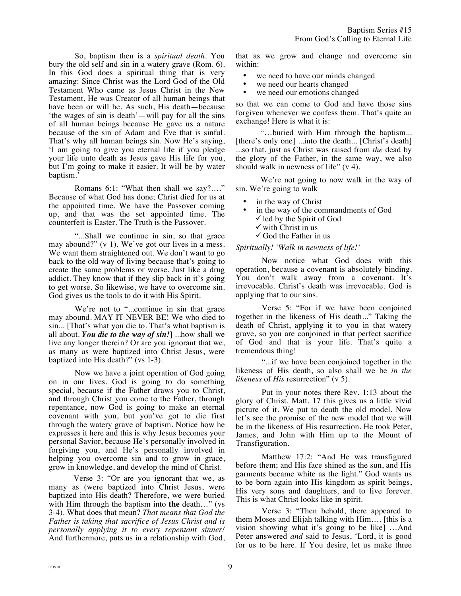So, baptism then is a *spiritual death*. You bury the old self and sin in a watery grave (Rom. 6). In this God does a spiritual thing that is very amazing: Since Christ was the Lord God of the Old Testament Who came as Jesus Christ in the New Testament, He was Creator of all human beings that have been or will be. As such, His death—because 'the wages of sin is death'—will pay for all the sins of all human beings because He gave us a nature because of the sin of Adam and Eve that is sinful. That's why all human beings sin. Now He's saying, 'I am going to give you eternal life if you pledge your life unto death as Jesus gave His life for you, but I'm going to make it easier. It will be by water baptism.'

Romans 6:1: "What then shall we say?…." Because of what God has done; Christ died for us at the appointed time. We have the Passover coming up, and that was the set appointed time. The counterfeit is Easter. The Truth is the Passover.

"...Shall we continue in sin, so that grace may abound?" (v 1). We've got our lives in a mess. We want them straightened out. We don't want to go back to the old way of living because that's going to create the same problems or worse. Just like a drug addict. They know that if they slip back in it's going to get worse. So likewise, we have to overcome sin. God gives us the tools to do it with His Spirit.

We're not to "...continue in sin that grace may abound. MAY IT NEVER BE! We who died to sin... [That's what you die to. That's what baptism is all about. *You die to the way of sin!*] ...how shall we live any longer therein? Or are you ignorant that we, as many as were baptized into Christ Jesus, were baptized into His death?" (vs 1-3).

Now we have a joint operation of God going on in our lives. God is going to do something special, because if the Father draws you to Christ, and through Christ you come to the Father, through repentance, now God is going to make an eternal covenant with you, but you've got to die first through the watery grave of baptism. Notice how he expresses it here and this is why Jesus becomes your personal Savior, because He's personally involved in forgiving you, and He's personally involved in helping you overcome sin and to grow in grace, grow in knowledge, and develop the mind of Christ.

Verse 3: "Or are you ignorant that we, as many as (were baptized into Christ Jesus, were baptized into His death? Therefore, we were buried with Him through the baptism into **the** death…" (vs 3-4). What does that mean? *That means that God the Father is taking that sacrifice of Jesus Christ and is personally applying it to every repentant sinner!* And furthermore, puts us in a relationship with God, that as we grow and change and overcome sin within:

- we need to have our minds changed
- we need our hearts changed
- we need our emotions changed

so that we can come to God and have those sins forgiven whenever we confess them. That's quite an exchange! Here is what it is:

"…buried with Him through **the** baptism... [there's only one] ...into **the** death... [Christ's death] ...so that, just as Christ was raised from *the* dead by the glory of the Father, in the same way, we also should walk in newness of life" (v 4).

We're not going to now walk in the way of sin. We're going to walk

- in the way of Christ
- in the way of the commandments of God  $\checkmark$  led by the Spirit of God
	- $\checkmark$  with Christ in us
	- $\checkmark$  God the Father in us

## *Spiritually! 'Walk in newness of life!'*

Now notice what God does with this operation, because a covenant is absolutely binding. You don't walk away from a covenant. It's irrevocable. Christ's death was irrevocable. God is applying that to our sins.

Verse 5: "For if we have been conjoined together in the likeness of His death..." Taking the death of Christ, applying it to you in that watery grave, so you are conjoined in that perfect sacrifice of God and that is your life. That's quite a tremendous thing!

"...if we have been conjoined together in the likeness of His death, so also shall we be *in the likeness* of *His* resurrection" (v 5).

Put in your notes there Rev. 1:13 about the glory of Christ. Matt. 17 this gives us a little vivid picture of it. We put to death the old model. Now let's see the promise of the new model that we will be in the likeness of His resurrection. He took Peter, James, and John with Him up to the Mount of Transfiguration.

Matthew 17:2: "And He was transfigured before them; and His face shined as the sun, and His garments became white as the light." God wants us to be born again into His kingdom as spirit beings, His very sons and daughters, and to live forever. This is what Christ looks like in spirit.

Verse 3: "Then behold, there appeared to them Moses and Elijah talking with Him…. [this is a vision showing what it's going to be like] …And Peter answered *and* said to Jesus, 'Lord, it is good for us to be here. If You desire, let us make three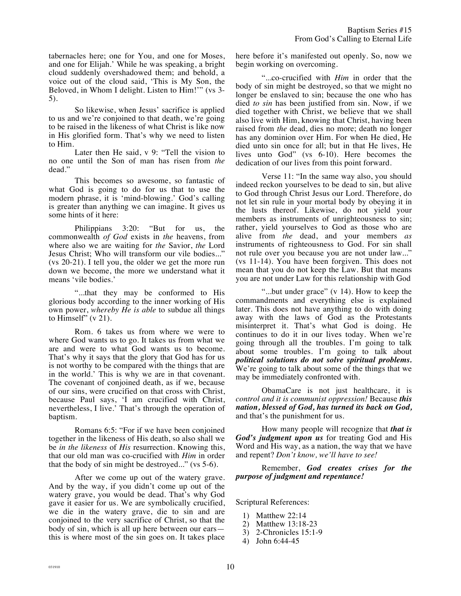tabernacles here; one for You, and one for Moses, and one for Elijah.' While he was speaking, a bright cloud suddenly overshadowed them; and behold, a voice out of the cloud said, 'This is My Son, the Beloved, in Whom I delight. Listen to Him!'" (vs 3- 5).

So likewise, when Jesus' sacrifice is applied to us and we're conjoined to that death, we're going to be raised in the likeness of what Christ is like now in His glorified form. That's why we need to listen to Him.

Later then He said, v 9: "Tell the vision to no one until the Son of man has risen from *the* dead."

This becomes so awesome, so fantastic of what God is going to do for us that to use the modern phrase, it is 'mind-blowing.' God's calling is greater than anything we can imagine. It gives us some hints of it here:

Philippians 3:20: "But for us, the commonwealth *of God* exists in *the* heavens, from where also we are waiting for *the* Savior, *the* Lord Jesus Christ; Who will transform our vile bodies..." (vs 20-21). I tell you, the older we get the more run down we become, the more we understand what it means 'vile bodies.'

"...that they may be conformed to His glorious body according to the inner working of His own power, *whereby He is able* to subdue all things to Himself" (v 21).

Rom. 6 takes us from where we were to where God wants us to go. It takes us from what we are and were to what God wants us to become. That's why it says that the glory that God has for us is not worthy to be compared with the things that are in the world.' This is why we are in that covenant. The covenant of conjoined death, as if we, because of our sins, were crucified on that cross with Christ, because Paul says, 'I am crucified with Christ, nevertheless, I live.' That's through the operation of baptism.

Romans 6:5: "For if we have been conjoined together in the likeness of His death, so also shall we be *in the likeness* of *His* resurrection. Knowing this, that our old man was co-crucified with *Him* in order that the body of sin might be destroyed..." (vs 5-6).

After we come up out of the watery grave. And by the way, if you didn't come up out of the watery grave, you would be dead. That's why God gave it easier for us. We are symbolically crucified, we die in the watery grave, die to sin and are conjoined to the very sacrifice of Christ, so that the body of sin, which is all up here between our ears this is where most of the sin goes on. It takes place here before it's manifested out openly. So, now we begin working on overcoming.

"...co-crucified with *Him* in order that the body of sin might be destroyed, so that we might no longer be enslaved to sin; because the one who has died *to sin* has been justified from sin. Now, if we died together with Christ, we believe that we shall also live with Him, knowing that Christ, having been raised from *the* dead, dies no more; death no longer has any dominion over Him. For when He died, He died unto sin once for all; but in that He lives, He lives unto God" (vs 6-10). Here becomes the dedication of our lives from this point forward.

Verse 11: "In the same way also, you should indeed reckon yourselves to be dead to sin, but alive to God through Christ Jesus our Lord. Therefore, do not let sin rule in your mortal body by obeying it in the lusts thereof. Likewise, do not yield your members as instruments of unrighteousness to sin; rather, yield yourselves to God as those who are alive from *the* dead, and your members *as* instruments of righteousness to God. For sin shall not rule over you because you are not under law..." (vs 11-14). You have been forgiven. This does not mean that you do not keep the Law. But that means you are not under Law for this relationship with God

"...but under grace" (v 14). How to keep the commandments and everything else is explained later. This does not have anything to do with doing away with the laws of God as the Protestants misinterpret it. That's what God is doing. He continues to do it in our lives today. When we're going through all the troubles. I'm going to talk about some troubles. I'm going to talk about *political solutions do not solve spiritual problems.* We're going to talk about some of the things that we may be immediately confronted with.

ObamaCare is not just healthcare, it is *control and it is communist oppression!* Because *this nation, blessed of God, has turned its back on God,*  and that's the punishment for us.

How many people will recognize that *that is God's judgment upon us* for treating God and His Word and His way, as a nation, the way that we have and repent? *Don't know, we'll have to see!* 

Remember, *God creates crises for the purpose of judgment and repentance!*

Scriptural References:

- 1) Matthew 22:14
- 2) Matthew 13:18-23
- 3) 2-Chronicles 15:1-9
- 4) John 6:44-45